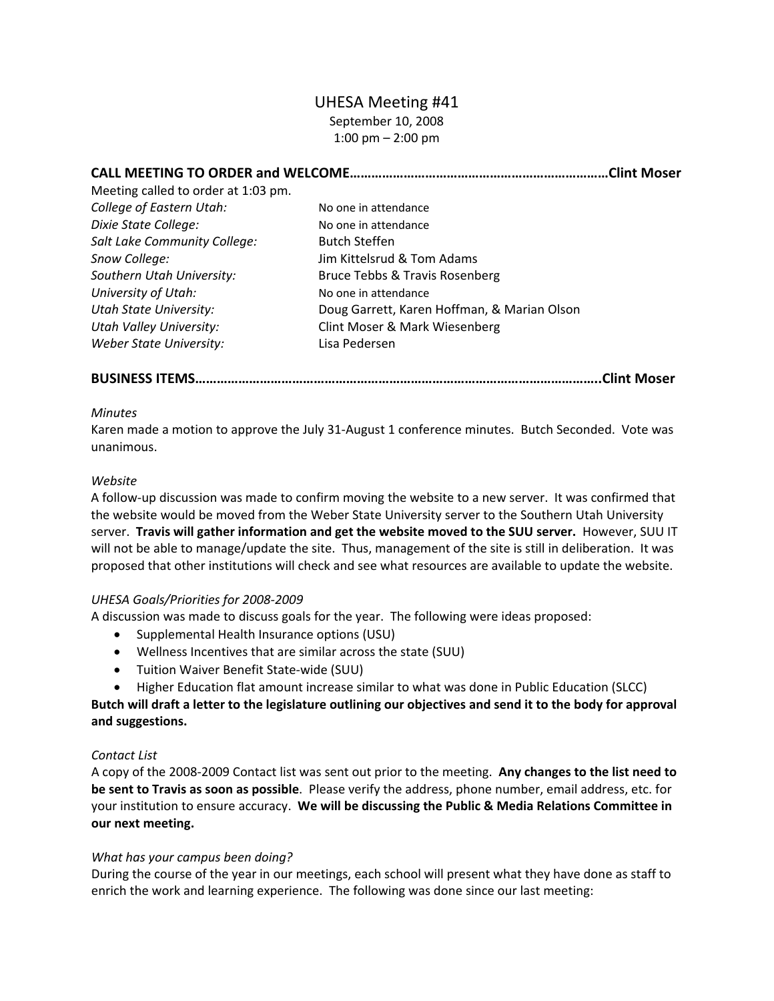# UHESA Meeting #41 September 10, 2008 1:00 pm – 2:00 pm

| Meeting called to order at 1:03 pm. |                                             | Clint Moser. |
|-------------------------------------|---------------------------------------------|--------------|
|                                     |                                             |              |
| College of Eastern Utah:            | No one in attendance                        |              |
| Dixie State College:                | No one in attendance                        |              |
| Salt Lake Community College:        | <b>Butch Steffen</b>                        |              |
| Snow College:                       | Jim Kittelsrud & Tom Adams                  |              |
| Southern Utah University:           | Bruce Tebbs & Travis Rosenberg              |              |
| University of Utah:                 | No one in attendance                        |              |
| <b>Utah State University:</b>       | Doug Garrett, Karen Hoffman, & Marian Olson |              |
| <b>Utah Valley University:</b>      | Clint Moser & Mark Wiesenberg               |              |
| <b>Weber State University:</b>      | Lisa Pedersen                               |              |

**BUSINESS ITEMS…………………………………………………………………………………………………..Clint Moser**

## *Minutes*

Karen made a motion to approve the July 31‐August 1 conference minutes. Butch Seconded. Vote was unanimous.

## *Website*

A follow‐up discussion was made to confirm moving the website to a new server. It was confirmed that the website would be moved from the Weber State University server to the Southern Utah University server. **Travis will gather information and get the website moved to the SUU server.** However, SUU IT will not be able to manage/update the site. Thus, management of the site is still in deliberation. It was proposed that other institutions will check and see what resources are available to update the website.

# *UHESA Goals/Priorities for 2008‐2009*

A discussion was made to discuss goals for the year. The following were ideas proposed:

- Supplemental Health Insurance options (USU)
- Wellness Incentives that are similar across the state (SUU)
- Tuition Waiver Benefit State‐wide (SUU)
- Higher Education flat amount increase similar to what was done in Public Education (SLCC)

Butch will draft a letter to the legislature outlining our objectives and send it to the body for approval **and suggestions.**

### *Contact List*

A copy of the 2008‐2009 Contact list was sent out prior to the meeting. **Any changes to the list need to be sent to Travis as soon as possible**. Please verify the address, phone number, email address, etc. for your institution to ensure accuracy. **We will be discussing the Public & Media Relations Committee in our next meeting.**

### *What has your campus been doing?*

During the course of the year in our meetings, each school will present what they have done as staff to enrich the work and learning experience. The following was done since our last meeting: